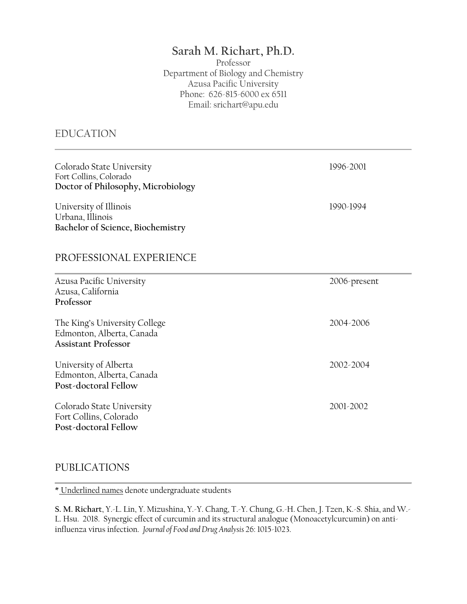# **Sarah M. Richart, Ph.D.**

Professor Department of Biology and Chemistry Azusa Pacific University Phone: 626-815-6000 ex 6511 Email: srichart@apu.edu

### EDUCATION

| Colorado State University<br>Fort Collins, Colorado<br>Doctor of Philosophy, Microbiology | 1996-2001    |
|-------------------------------------------------------------------------------------------|--------------|
| University of Illinois<br>Urbana, Illinois<br>Bachelor of Science, Biochemistry           | 1990-1994    |
| PROFESSIONAL EXPERIENCE                                                                   |              |
| Azusa Pacific University<br>Azusa, California<br>Professor                                | 2006-present |
| The King's University College<br>Edmonton, Alberta, Canada<br><b>Assistant Professor</b>  | 2004-2006    |
| University of Alberta<br>Edmonton, Alberta, Canada<br>Post-doctoral Fellow                | 2002-2004    |
| Colorado State University<br>Fort Collins, Colorado<br>Post-doctoral Fellow               | 2001-2002    |

### PUBLICATIONS

\* Underlined names denote undergraduate students

**S. M. Richart**, Y.-L. Lin, Y. Mizushina, Y.-Y. Chang, T.-Y. Chung, G.-H. Chen, J. Tzen, K.-S. Shia, and W.- L. Hsu. 2018. Synergic effect of curcumin and its structural analogue (Monoacetylcurcumin) on antiinfluenza virus infection. *Journal of Food and Drug Analysis* 26: 1015-1023.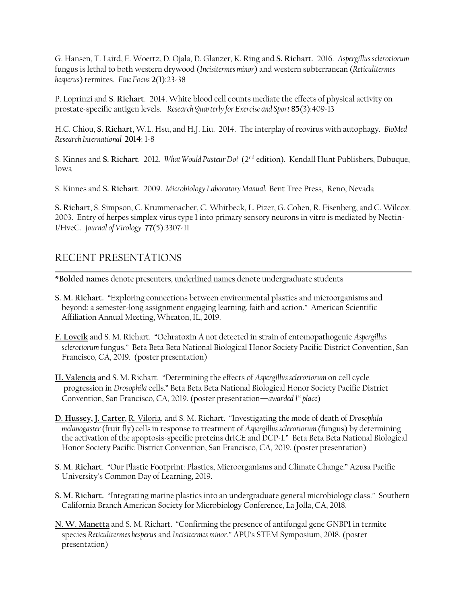G. Hansen, T. Laird, E. Woertz, D. Ojala, D. Glanzer, K. Ring and **S. Richart**. 2016. *Aspergillus sclerotiorum* fungus is lethal to both western drywood (*Incisitermes minor*) and western subterranean (*Reticulitermes hesperus*) termites. *Fine Focus* **2**(1):23-38

P. Loprinzi and **S. Richart**. 2014. White blood cell counts mediate the effects of physical activity on prostate-specific antigen levels. *Research Quarterly for Exercise and Sport* **85**(3):409-13

H.C. Chiou, **S. Richart**, W.L. Hsu, and H.J. Liu. 2014. The interplay of reovirus with autophagy. *BioMed Research International* **2014**: 1-8

S. Kinnes and **S. Richart**. 2012. *What Would Pasteur Do?* (2nd edition). Kendall Hunt Publishers, Dubuque, Iowa

S. Kinnes and **S. Richart**. 2009. *Microbiology Laboratory Manual.* Bent Tree Press, Reno, Nevada

**S. Richart**, S. Simpson, C. Krummenacher, C. Whitbeck, L. Pizer, G. Cohen, R. Eisenberg, and C. Wilcox. 2003. Entry of herpes simplex virus type 1 into primary sensory neurons in vitro is mediated by Nectin-1/HveC. *Journal of Virology* **77**(5):3307-11

### RECENT PRESENTATIONS

\***Bolded names** denote presenters, underlined names denote undergraduate students

- **S. M. Richart.** "Exploring connections between environmental plastics and microorganisms and beyond: a semester-long assignment engaging learning, faith and action." American Scientific Affiliation Annual Meeting, Wheaton, IL, 2019.
- **F. Lovcik** and S. M. Richart. "Ochratoxin A not detected in strain of entomopathogenic *Aspergillus sclerotiorum* fungus." Beta Beta Beta National Biological Honor Society Pacific District Convention, San Francisco, CA, 2019. (poster presentation)
- **H. Valencia** and S. M. Richart. "Determining the effects of *Aspergillus sclerotiorum* on cell cycle progression in *Drosophila* cells." Beta Beta Beta National Biological Honor Society Pacific District Convention, San Francisco, CA, 2019. (poster presentation—*awarded 1 st place*)
- **D. Hussey, J. Carter**, R. Viloria, and S. M. Richart. "Investigating the mode of death of *Drosophila melanogaster*(fruit fly) cellsin response to treatment of *Aspergillus sclerotiorum* (fungus) by determining the activation of the apoptosis-specific proteins drICE and DCP-1." Beta Beta Beta National Biological Honor Society Pacific District Convention, San Francisco, CA, 2019. (poster presentation)
- **S. M. Richart**. "Our Plastic Footprint: Plastics, Microorganisms and Climate Change." Azusa Pacific University's Common Day of Learning, 2019.
- **S. M. Richart.** "Integrating marine plastics into an undergraduate general microbiology class." Southern California Branch American Society for Microbiology Conference, La Jolla, CA, 2018.
- **N. W. Manetta** and S. M. Richart. "Confirming the presence of antifungal gene GNBP1 in termite species *Reticulitermes hesperus* and *Incisitermes minor*." APU's STEM Symposium, 2018. (poster presentation)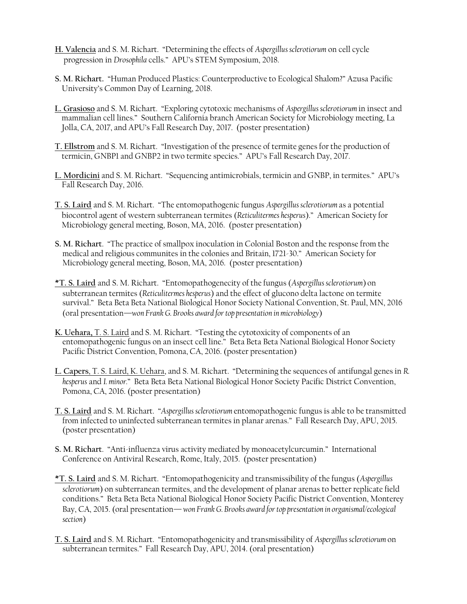- **H. Valencia** and S. M. Richart. "Determining the effects of *Aspergillus sclerotiorum* on cell cycle progression in *Drosophila* cells." APU's STEM Symposium, 2018.
- **S. M. Richart.** "Human Produced Plastics: Counterproductive to Ecological Shalom?" Azusa Pacific University's Common Day of Learning, 2018.
- **L. Grasioso** and S. M. Richart. "Exploring cytotoxic mechanisms of *Aspergillus sclerotiorum* in insect and mammalian cell lines." Southern California branch American Society for Microbiology meeting, La Jolla, CA, 2017, and APU's Fall Research Day, 2017. (poster presentation)
- **T. Ellstrom** and S. M. Richart. "Investigation of the presence of termite genes for the production of termicin, GNBP1 and GNBP2 in two termite species." APU's Fall Research Day, 2017.
- **L. Mordicini** and S. M. Richart. "Sequencing antimicrobials, termicin and GNBP, in termites." APU's Fall Research Day, 2016.
- **T. S. Laird** and S. M. Richart. "The entomopathogenic fungus *Aspergillus sclerotiorum* as a potential biocontrol agent of western subterranean termites (*Reticulitermes hesperus*)." American Society for Microbiology general meeting, Boson, MA, 2016. (poster presentation)
- **S. M. Richart**. "The practice of smallpox inoculation in Colonial Boston and the response from the medical and religious communites in the colonies and Britain, 1721-30." American Society for Microbiology general meeting, Boson, MA, 2016. (poster presentation)
- **\*T. S. Laird** and S. M. Richart. "Entomopathogenecity of the fungus (*Aspergillus sclerotiorum*) on subterranean termites (*Reticulitermes hesperus*) and the effect of glucono delta lactone on termite survival." Beta Beta Beta National Biological Honor Society National Convention, St. Paul, MN, 2016 (oral presentation—*won Frank G. Brooks award for top presentation in microbiology*)
- **K. Uehara,** T. S. Laird and S. M. Richart. "Testing the cytotoxicity of components of an entomopathogenic fungus on an insect cell line." Beta Beta Beta National Biological Honor Society Pacific District Convention, Pomona, CA, 2016. (poster presentation)
- **L. Capers**, T. S. Laird, K. Uehara, and S. M. Richart. "Determining the sequences of antifungal genes in *R. hesperus* and *I. minor.*" Beta Beta Beta National Biological Honor Society Pacific District Convention, Pomona, CA, 2016. (poster presentation)
- **T. S. Laird** and S. M. Richart. "*Aspergillus sclerotiorum* entomopathogenic fungus is able to be transmitted from infected to uninfected subterranean termites in planar arenas." Fall Research Day, APU, 2015. (poster presentation)
- **S. M. Richart**. "Anti-influenza virus activity mediated by monoacetylcurcumin." International Conference on Antiviral Research, Rome, Italy, 2015. (poster presentation)
- **\*T. S. Laird** and S. M. Richart. "Entomopathogenicity and transmissibility of the fungus (*Aspergillus sclerotiorum*) on subterranean termites, and the development of planar arenas to better replicate field conditions." Beta Beta Beta National Biological Honor Society Pacific District Convention, Monterey Bay, CA, 2015. (oral presentation—*won Frank G. Brooks award for top presentation in organismal/ecological section*)
- **T. S. Laird** and S. M. Richart. "Entomopathogenicity and transmissibility of *Aspergillus sclerotiorum* on subterranean termites." Fall Research Day, APU, 2014. (oral presentation)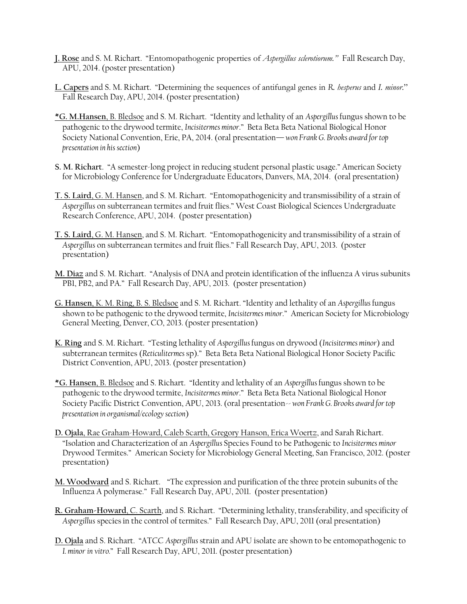- **J. Rose** and S. M. Richart. "Entomopathogenic properties of *Aspergillus sclerotiorum."* Fall Research Day, APU, 2014. (poster presentation)
- **L. Capers** and S. M. Richart. "Determining the sequences of antifungal genes in *R. hesperus* and *I. minor*." Fall Research Day, APU, 2014. (poster presentation)
- **\*G. M.Hansen**, B. Bledsoe and S. M. Richart. "Identity and lethality of an *Aspergillus* fungus shown to be pathogenic to the drywood termite, *Incisitermes minor*." Beta Beta Beta National Biological Honor Society National Convention, Erie, PA, 2014. (oral presentation—*won Frank G. Brooks award for top presentation in his section*)
- **S. M. Richart**. "A semester-long project in reducing student personal plastic usage." American Society for Microbiology Conference for Undergraduate Educators, Danvers, MA, 2014. (oral presentation)
- **T. S. Laird**, G. M. Hansen, and S. M. Richart. "Entomopathogenicity and transmissibility of a strain of *Aspergillus* on subterranean termites and fruit flies." West Coast Biological Sciences Undergraduate Research Conference, APU, 2014. (poster presentation)
- **T. S. Laird**, G. M. Hansen, and S. M. Richart. "Entomopathogenicity and transmissibility of a strain of *Aspergillus* on subterranean termites and fruit flies." Fall Research Day, APU, 2013. (poster presentation)
- **M. Diaz** and S. M. Richart. "Analysis of DNA and protein identification of the influenza A virus subunits PB1, PB2, and PA." Fall Research Day, APU, 2013. (poster presentation)
- **G. Hansen**, K. M. Ring, B. S. Bledsoe and S. M. Richart. "Identity and lethality of an *Aspergillus* fungus shown to be pathogenic to the drywood termite, *Incisitermes minor*." American Society for Microbiology General Meeting, Denver, CO, 2013. (poster presentation)
- **K. Ring** and S. M. Richart. "Testing lethality of *Aspergillus* fungus on drywood (*Incisitermes minor*) and subterranean termites (*Reticulitermes* sp)." Beta Beta Beta National Biological Honor Society Pacific District Convention, APU, 2013. (poster presentation)
- **\*G. Hansen**, B. Bledsoe and S. Richart. "Identity and lethality of an *Aspergillus* fungus shown to be pathogenic to the drywood termite, *Incisitermes minor*." Beta Beta Beta National Biological Honor Society Pacific District Convention, APU, 2013. (oral presentation-- *won Frank G. Brooks award for top presentation in organismal/ecology section*)
- **D. Ojala**, Rae Graham-Howard, Caleb Scarth, Gregory Hanson, Erica Woertz, and Sarah Richart. "Isolation and Characterization of an *Aspergillus* Species Found to be Pathogenic to *Incisitermes minor*  Drywood Termites." American Society for Microbiology General Meeting, San Francisco, 2012. (poster presentation)
- **M. Woodward** and S. Richart. **"**"The expression and purification of the three protein subunits of the Influenza A polymerase." Fall Research Day, APU, 2011. (poster presentation)
- **R. Graham-Howard**, C. Scarth, and S. Richart. "Determining lethality, transferability, and specificity of *Aspergillus* speciesin the control of termites." Fall Research Day, APU, 2011 (oral presentation)
- **D. Ojala** and S. Richart. "ATCC *Aspergillus* strain and APU isolate are shown to be entomopathogenic to *I. minor in vitro.*" Fall Research Day, APU, 2011. (poster presentation)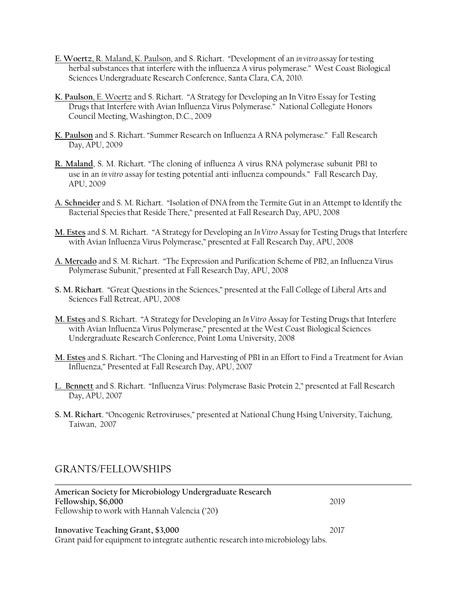- **E. Woertz**, R. Maland, K. Paulson, and S. Richart. "Development of an *in vitro* assay for testing herbal substances that interfere with the influenza A virus polymerase." West Coast Biological Sciences Undergraduate Research Conference, Santa Clara, CA, 2010.
- **K. Paulson**, E. Woertz and S. Richart. "A Strategy for Developing an In Vitro Essay for Testing Drugs that Interfere with Avian Influenza Virus Polymerase." National Collegiate Honors Council Meeting, Washington, D.C., 2009
- **K. Paulson** and S. Richart. "Summer Research on Influenza A RNA polymerase." Fall Research Day, APU, 2009
- **R. Maland**, S. M. Richart. "The cloning of influenza A virus RNA polymerase subunit PB1 to use in an *in vitro* assay for testing potential anti-influenza compounds." Fall Research Day, APU, 2009
- **A. Schneider** and S. M. Richart. "Isolation of DNA from the Termite Gut in an Attempt to Identify the Bacterial Species that Reside There," presented at Fall Research Day, APU, 2008
- **M. Estes** and S. M. Richart. "A Strategy for Developing an *In Vitro* Assay for Testing Drugs that Interfere with Avian Influenza Virus Polymerase," presented at Fall Research Day, APU, 2008
- **A. Mercado** and S. M. Richart. "The Expression and Purification Scheme of PB2, an Influenza Virus Polymerase Subunit," presented at Fall Research Day, APU, 2008
- **S. M. Richart**. "Great Questions in the Sciences," presented at the Fall College of Liberal Arts and Sciences Fall Retreat, APU, 2008
- **M. Estes** and S. Richart. "A Strategy for Developing an *In Vitro* Assay for Testing Drugs that Interfere with Avian Influenza Virus Polymerase," presented at the West Coast Biological Sciences Undergraduate Research Conference, Point Loma University, 2008
- **M. Estes** and S. Richart. "The Cloning and Harvesting of PB1 in an Effort to Find a Treatment for Avian Influenza," Presented at Fall Research Day, APU, 2007
- **L. Bennett** and S. Richart. "Influenza Virus: Polymerase Basic Protein 2," presented at Fall Research Day, APU, 2007
- **S. M. Richart**. "Oncogenic Retroviruses," presented at National Chung Hsing University, Taichung, Taiwan, 2007

#### GRANTS/FELLOWSHIPS

| American Society for Microbiology Undergraduate Research                         |      |
|----------------------------------------------------------------------------------|------|
| Fellowship, \$6,000                                                              | 2019 |
| Fellowship to work with Hannah Valencia ('20)                                    |      |
|                                                                                  |      |
| Innovative Teaching Grant, \$3,000                                               | 2017 |
| Grant paid for equipment to integrate authentic research into microbiology labs. |      |
|                                                                                  |      |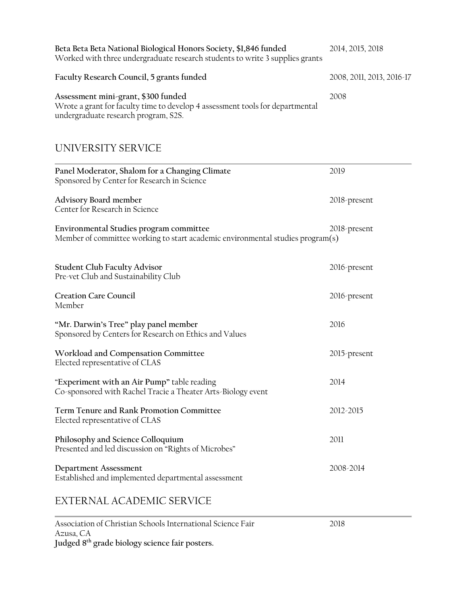| Beta Beta Beta National Biological Honors Society, \$1,846 funded<br>Worked with three undergraduate research students to write 3 supplies grants            | 2014, 2015, 2018          |
|--------------------------------------------------------------------------------------------------------------------------------------------------------------|---------------------------|
| Faculty Research Council, 5 grants funded                                                                                                                    | 2008, 2011, 2013, 2016-17 |
| Assessment mini-grant, \$300 funded<br>Wrote a grant for faculty time to develop 4 assessment tools for departmental<br>undergraduate research program, S2S. | 2008                      |

### UNIVERSITY SERVICE

| Panel Moderator, Shalom for a Changing Climate<br>Sponsored by Center for Research in Science                             | 2019         |
|---------------------------------------------------------------------------------------------------------------------------|--------------|
| Advisory Board member<br>Center for Research in Science                                                                   | 2018-present |
| Environmental Studies program committee<br>Member of committee working to start academic environmental studies program(s) | 2018-present |
| <b>Student Club Faculty Advisor</b><br>Pre-vet Club and Sustainability Club                                               | 2016-present |
| <b>Creation Care Council</b><br>Member                                                                                    | 2016-present |
| "Mr. Darwin's Tree" play panel member<br>Sponsored by Centers for Research on Ethics and Values                           | 2016         |
| Workload and Compensation Committee<br>Elected representative of CLAS                                                     | 2015-present |
| "Experiment with an Air Pump" table reading<br>Co-sponsored with Rachel Tracie a Theater Arts-Biology event               | 2014         |
| Term Tenure and Rank Promotion Committee<br>Elected representative of CLAS                                                | 2012-2015    |
| Philosophy and Science Colloquium<br>Presented and led discussion on "Rights of Microbes"                                 | 2011         |
| Department Assessment<br>Established and implemented departmental assessment                                              | 2008-2014    |
| EXTERNAL ACADEMIC SERVICE                                                                                                 |              |